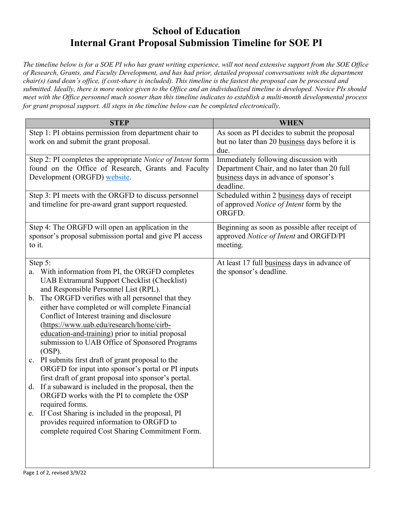## **School of Education Internal Grant Proposal Submission Timeline for SOE PI**

*The timeline below is for a SOE PI who has grant writing experience, will not need extensive support from the SOE Office of Research, Grants, and Faculty Development, and has had prior, detailed proposal conversations with the department chair(s) (and dean's office, if cost-share is included). This timeline is the fastest the proposal can be processed and submitted. Ideally, there is more notice given to the Office and an individualized timeline is developed. Novice PIs should meet with the Office personnel much sooner than this timeline indicates to establish a multi-month developmental process for grant proposal support. All steps in the timeline below can be completed electronically.*

| <b>STEP</b>                                                                                         | <b>WHEN</b>                                                                                             |
|-----------------------------------------------------------------------------------------------------|---------------------------------------------------------------------------------------------------------|
| Step 1: PI obtains permission from department chair to<br>work on and submit the grant proposal.    | As soon as PI decides to submit the proposal<br>but no later than 20 business days before it is<br>due. |
| Step 2: PI completes the appropriate Notice of Intent form                                          | Immediately following discussion with                                                                   |
| found on the Office of Research, Grants and Faculty                                                 | Department Chair, and no later than 20 full                                                             |
| Development (ORGFD) website.                                                                        | business days in advance of sponsor's<br>deadline.                                                      |
| Step 3: PI meets with the ORGFD to discuss personnel                                                | Scheduled within 2 business days of receipt                                                             |
| and timeline for pre-award grant support requested.                                                 | of approved Notice of Intent form by the<br>ORGFD.                                                      |
| Step 4: The ORGFD will open an application in the                                                   | Beginning as soon as possible after receipt of                                                          |
| sponsor's proposal submission portal and give PI access                                             | approved Notice of Intent and ORGFD/PI                                                                  |
| to it.                                                                                              | meeting.                                                                                                |
| Step 5:                                                                                             | At least 17 full business days in advance of                                                            |
| With information from PI, the ORGFD completes<br>a.                                                 | the sponsor's deadline.                                                                                 |
| UAB Extramural Support Checklist (Checklist)                                                        |                                                                                                         |
| and Responsible Personnel List (RPL).                                                               |                                                                                                         |
| The ORGFD verifies with all personnel that they<br>$\mathbf b$ .                                    |                                                                                                         |
| either have completed or will complete Financial                                                    |                                                                                                         |
| Conflict of Interest training and disclosure                                                        |                                                                                                         |
| (https://www.uab.edu/research/home/cirb-                                                            |                                                                                                         |
| education-and-training) prior to initial proposal<br>submission to UAB Office of Sponsored Programs |                                                                                                         |
| $(OSP)$ .                                                                                           |                                                                                                         |
| PI submits first draft of grant proposal to the<br>c.                                               |                                                                                                         |
| ORGFD for input into sponsor's portal or PI inputs                                                  |                                                                                                         |
| first draft of grant proposal into sponsor's portal.                                                |                                                                                                         |
| If a subaward is included in the proposal, then the<br>d.                                           |                                                                                                         |
| ORGFD works with the PI to complete the OSP                                                         |                                                                                                         |
| required forms.                                                                                     |                                                                                                         |
| If Cost Sharing is included in the proposal, PI<br>e.<br>provides required information to ORGFD to  |                                                                                                         |
| complete required Cost Sharing Commitment Form.                                                     |                                                                                                         |
|                                                                                                     |                                                                                                         |
|                                                                                                     |                                                                                                         |
|                                                                                                     |                                                                                                         |